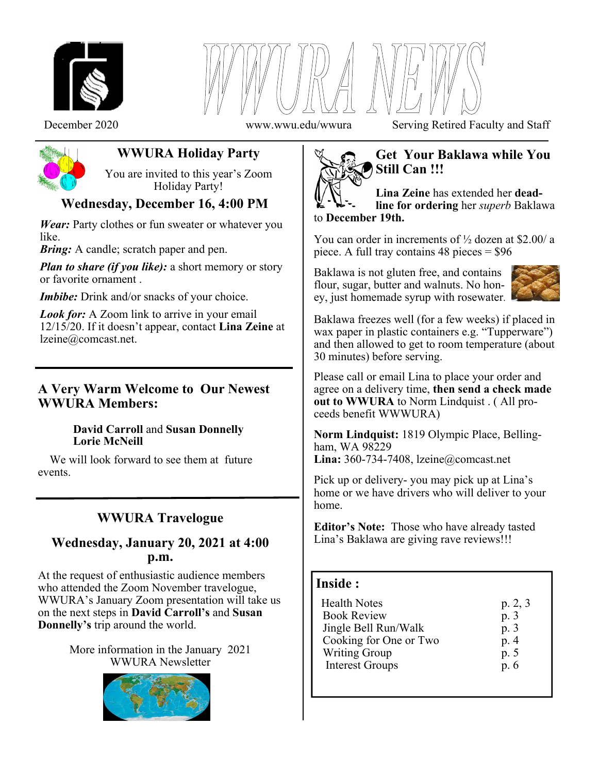



December 2020 www.wwu.edu/wwura Serving Retired Faculty and Staff



# **WWURA Holiday Party**

You are invited to this year's Zoom Holiday Party!

## **Wednesday, December 16, 4:00 PM**

*Wear*: Party clothes or fun sweater or whatever you like.

*Bring:* A candle; scratch paper and pen.

*Plan to share (if you like):* a short memory or story or favorite ornament .

*Imbibe:* Drink and/or snacks of your choice.

*Look for:* A Zoom link to arrive in your email 12/15/20. If it doesn't appear, contact **Lina Zeine** at lzeine@comcast.net.

### **A Very Warm Welcome to Our Newest WWURA Members:**

 **David Carroll** and **Susan Donnelly Lorie McNeill** 

We will look forward to see them at future events.

# **WWURA Travelogue**

## **Wednesday, January 20, 2021 at 4:00 p.m.**

At the request of enthusiastic audience members who attended the Zoom November travelogue, WWURA's January Zoom presentation will take us on the next steps in **David Carroll's** and **Susan Donnelly's** trip around the world.

> More information in the January 2021 WWURA Newsletter





## **Get Your Baklawa while You Still Can !!!**

**Lina Zeine** has extended her **deadline for ordering** her *superb* Baklawa to **December 19th.** 

You can order in increments of ½ dozen at \$2.00/ a piece. A full tray contains 48 pieces = \$96

Baklawa is not gluten free, and contains flour, sugar, butter and walnuts. No honey, just homemade syrup with rosewater.



Baklawa freezes well (for a few weeks) if placed in wax paper in plastic containers e.g. "Tupperware") and then allowed to get to room temperature (about 30 minutes) before serving.

Please call or email Lina to place your order and agree on a delivery time, **then send a check made out to WWURA** to Norm Lindquist . ( All proceeds benefit WWWURA)

**Norm Lindquist:** 1819 Olympic Place, Bellingham, WA 98229

**Lina:** 360-734-7408, lzeine@comcast.net

Pick up or delivery- you may pick up at Lina's home or we have drivers who will deliver to your home.

**Editor's Note:** Those who have already tasted Lina's Baklawa are giving rave reviews!!!

### **Inside :**

I l

| <b>Health Notes</b>    | p. 2, 3 |
|------------------------|---------|
| <b>Book Review</b>     | p. 3    |
| Jingle Bell Run/Walk   | p. 3    |
| Cooking for One or Two | p. 4    |
| <b>Writing Group</b>   | p. 5    |
| <b>Interest Groups</b> | p. 6    |
|                        |         |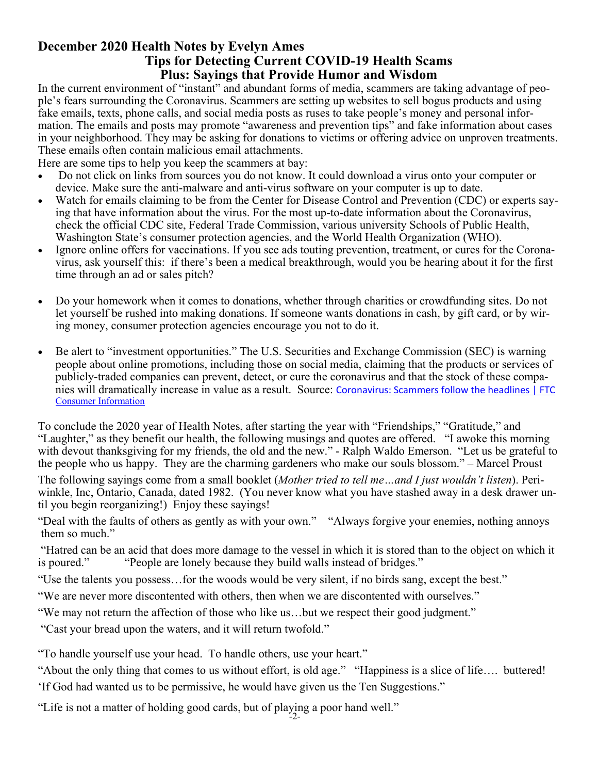### **December 2020 Health Notes by Evelyn Ames Tips for Detecting Current COVID-19 Health Scams Plus: Sayings that Provide Humor and Wisdom**

In the current environment of "instant" and abundant forms of media, scammers are taking advantage of people's fears surrounding the Coronavirus. Scammers are setting up websites to sell bogus products and using fake emails, texts, phone calls, and social media posts as ruses to take people's money and personal information. The emails and posts may promote "awareness and prevention tips" and fake information about cases in your neighborhood. They may be asking for donations to victims or offering advice on unproven treatments. These emails often contain malicious email attachments.

Here are some tips to help you keep the scammers at bay:

- Do not click on links from sources you do not know. It could download a virus onto your computer or device. Make sure the anti-malware and anti-virus software on your computer is up to date.
- Watch for emails claiming to be from the Center for Disease Control and Prevention (CDC) or experts saying that have information about the virus. For the most up-to-date information about the Coronavirus, check the official CDC site, Federal Trade Commission, various university Schools of Public Health, Washington State's consumer protection agencies, and the World Health Organization (WHO).
- Ignore online offers for vaccinations. If you see ads touting prevention, treatment, or cures for the Coronavirus, ask yourself this: if there's been a medical breakthrough, would you be hearing about it for the first time through an ad or sales pitch?
- Do your homework when it comes to donations, whether through charities or crowdfunding sites. Do not let yourself be rushed into making donations. If someone wants donations in cash, by gift card, or by wiring money, consumer protection agencies encourage you not to do it.
- Be alert to "investment opportunities." The U.S. Securities and Exchange Commission (SEC) is warning people about online promotions, including those on social media, claiming that the products or services of publicly-traded companies can prevent, detect, or cure the coronavirus and that the stock of these companies will dramatically increase in value as a result. Source: Coronavirus: Scammers follow the headlines | FTC Consumer Information

To conclude the 2020 year of Health Notes, after starting the year with "Friendships," "Gratitude," and "Laughter," as they benefit our health, the following musings and quotes are offered. "I awoke this morning with devout thanksgiving for my friends, the old and the new." - Ralph Waldo Emerson. "Let us be grateful to the people who us happy. They are the charming gardeners who make our souls blossom." – Marcel Proust

The following sayings come from a small booklet (*Mother tried to tell me…and I just wouldn't listen*). Periwinkle, Inc, Ontario, Canada, dated 1982. (You never know what you have stashed away in a desk drawer until you begin reorganizing!) Enjoy these sayings!

"Deal with the faults of others as gently as with your own." "Always forgive your enemies, nothing annoys them so much."

 "Hatred can be an acid that does more damage to the vessel in which it is stored than to the object on which it is poured." "People are lonely because they build walls instead of bridges."

"Use the talents you possess…for the woods would be very silent, if no birds sang, except the best."

"We are never more discontented with others, then when we are discontented with ourselves."

"We may not return the affection of those who like us…but we respect their good judgment."

"Cast your bread upon the waters, and it will return twofold."

"To handle yourself use your head. To handle others, use your heart."

"About the only thing that comes to us without effort, is old age." "Happiness is a slice of life…. buttered! 'If God had wanted us to be permissive, he would have given us the Ten Suggestions."

"Life is not a matter of holding good cards, but of playing a poor hand well."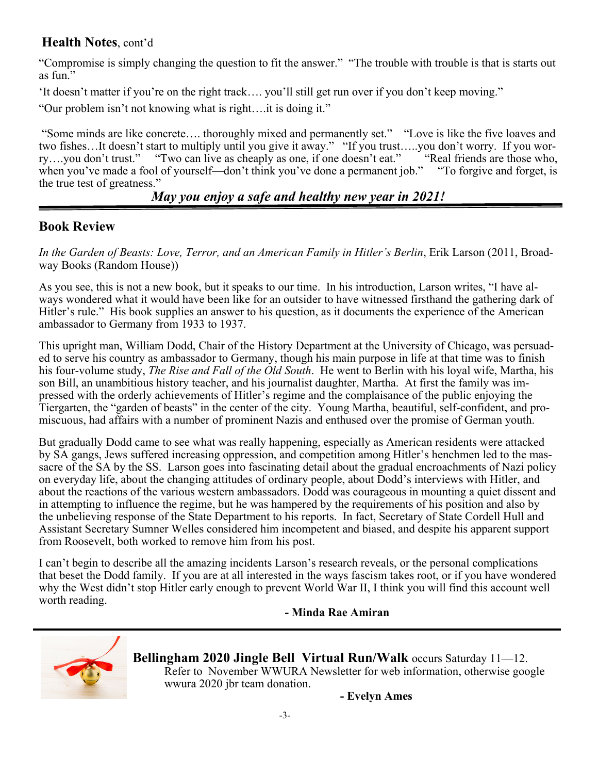# **Health Notes**, cont'd

"Compromise is simply changing the question to fit the answer." "The trouble with trouble is that is starts out as fun."

'It doesn't matter if you're on the right track…. you'll still get run over if you don't keep moving."

"Our problem isn't not knowing what is right….it is doing it."

 "Some minds are like concrete…. thoroughly mixed and permanently set." "Love is like the five loaves and two fishes…It doesn't start to multiply until you give it away." "If you trust…..you don't worry. If you worry….you don't trust." "Two can live as cheaply as one, if one doesn't eat." "Real friends are those who, when you've made a fool of yourself—don't think you've done a permanent job." "To forgive and forget, is the true test of greatness."

## *May you enjoy a safe and healthy new year in 2021!*

## **Book Review**

*In the Garden of Beasts: Love, Terror, and an American Family in Hitler's Berlin*, Erik Larson (2011, Broadway Books (Random House))

As you see, this is not a new book, but it speaks to our time. In his introduction, Larson writes, "I have always wondered what it would have been like for an outsider to have witnessed firsthand the gathering dark of Hitler's rule." His book supplies an answer to his question, as it documents the experience of the American ambassador to Germany from 1933 to 1937.

This upright man, William Dodd, Chair of the History Department at the University of Chicago, was persuaded to serve his country as ambassador to Germany, though his main purpose in life at that time was to finish his four-volume study, *The Rise and Fall of the Old South*. He went to Berlin with his loyal wife, Martha, his son Bill, an unambitious history teacher, and his journalist daughter, Martha. At first the family was impressed with the orderly achievements of Hitler's regime and the complaisance of the public enjoying the Tiergarten, the "garden of beasts" in the center of the city. Young Martha, beautiful, self-confident, and promiscuous, had affairs with a number of prominent Nazis and enthused over the promise of German youth.

But gradually Dodd came to see what was really happening, especially as American residents were attacked by SA gangs, Jews suffered increasing oppression, and competition among Hitler's henchmen led to the massacre of the SA by the SS. Larson goes into fascinating detail about the gradual encroachments of Nazi policy on everyday life, about the changing attitudes of ordinary people, about Dodd's interviews with Hitler, and about the reactions of the various western ambassadors. Dodd was courageous in mounting a quiet dissent and in attempting to influence the regime, but he was hampered by the requirements of his position and also by the unbelieving response of the State Department to his reports. In fact, Secretary of State Cordell Hull and Assistant Secretary Sumner Welles considered him incompetent and biased, and despite his apparent support from Roosevelt, both worked to remove him from his post.

I can't begin to describe all the amazing incidents Larson's research reveals, or the personal complications that beset the Dodd family. If you are at all interested in the ways fascism takes root, or if you have wondered why the West didn't stop Hitler early enough to prevent World War II, I think you will find this account well worth reading.

**- Minda Rae Amiran**



 **Bellingham 2020 Jingle Bell Virtual Run/Walk** occurs Saturday 11—12. Refer to November WWURA Newsletter for web information, otherwise google wwura 2020 jbr team donation.

**- Evelyn Ames**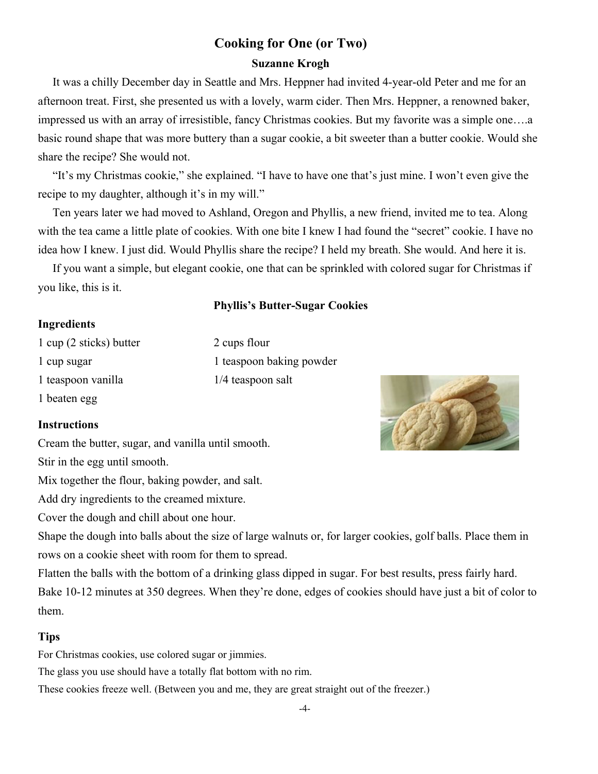## **Cooking for One (or Two)**

### **Suzanne Krogh**

 It was a chilly December day in Seattle and Mrs. Heppner had invited 4-year-old Peter and me for an afternoon treat. First, she presented us with a lovely, warm cider. Then Mrs. Heppner, a renowned baker, impressed us with an array of irresistible, fancy Christmas cookies. But my favorite was a simple one….a basic round shape that was more buttery than a sugar cookie, a bit sweeter than a butter cookie. Would she share the recipe? She would not.

 "It's my Christmas cookie," she explained. "I have to have one that's just mine. I won't even give the recipe to my daughter, although it's in my will."

 Ten years later we had moved to Ashland, Oregon and Phyllis, a new friend, invited me to tea. Along with the tea came a little plate of cookies. With one bite I knew I had found the "secret" cookie. I have no idea how I knew. I just did. Would Phyllis share the recipe? I held my breath. She would. And here it is.

 If you want a simple, but elegant cookie, one that can be sprinkled with colored sugar for Christmas if you like, this is it.

#### **Phyllis's Butter-Sugar Cookies**

#### **Ingredients**

1 cup (2 sticks) butter 2 cups flour 1 cup sugar 1 teaspoon baking powder 1 teaspoon vanilla 1/4 teaspoon salt 1 beaten egg

#### **Instructions**

Cream the butter, sugar, and vanilla until smooth. Stir in the egg until smooth.

Mix together the flour, baking powder, and salt.

Add dry ingredients to the creamed mixture.

Cover the dough and chill about one hour.

Shape the dough into balls about the size of large walnuts or, for larger cookies, golf balls. Place them in rows on a cookie sheet with room for them to spread.

Flatten the balls with the bottom of a drinking glass dipped in sugar. For best results, press fairly hard. Bake 10-12 minutes at 350 degrees. When they're done, edges of cookies should have just a bit of color to them.

### **Tips**

For Christmas cookies, use colored sugar or jimmies.

The glass you use should have a totally flat bottom with no rim.

These cookies freeze well. (Between you and me, they are great straight out of the freezer.)

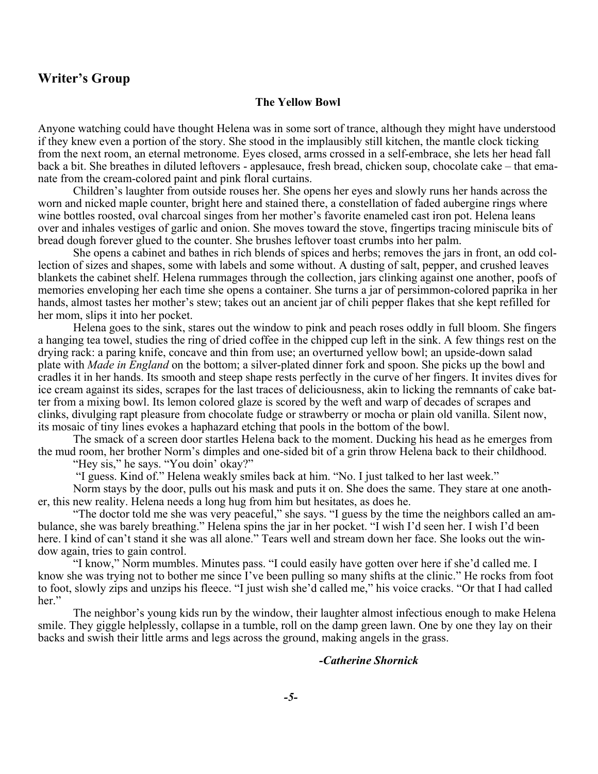### **Writer's Group**

#### **The Yellow Bowl**

Anyone watching could have thought Helena was in some sort of trance, although they might have understood if they knew even a portion of the story. She stood in the implausibly still kitchen, the mantle clock ticking from the next room, an eternal metronome. Eyes closed, arms crossed in a self-embrace, she lets her head fall back a bit. She breathes in diluted leftovers - applesauce, fresh bread, chicken soup, chocolate cake – that emanate from the cream-colored paint and pink floral curtains.

Children's laughter from outside rouses her. She opens her eyes and slowly runs her hands across the worn and nicked maple counter, bright here and stained there, a constellation of faded aubergine rings where wine bottles roosted, oval charcoal singes from her mother's favorite enameled cast iron pot. Helena leans over and inhales vestiges of garlic and onion. She moves toward the stove, fingertips tracing miniscule bits of bread dough forever glued to the counter. She brushes leftover toast crumbs into her palm.

She opens a cabinet and bathes in rich blends of spices and herbs; removes the jars in front, an odd collection of sizes and shapes, some with labels and some without. A dusting of salt, pepper, and crushed leaves blankets the cabinet shelf. Helena rummages through the collection, jars clinking against one another, poofs of memories enveloping her each time she opens a container. She turns a jar of persimmon-colored paprika in her hands, almost tastes her mother's stew; takes out an ancient jar of chili pepper flakes that she kept refilled for her mom, slips it into her pocket.

Helena goes to the sink, stares out the window to pink and peach roses oddly in full bloom. She fingers a hanging tea towel, studies the ring of dried coffee in the chipped cup left in the sink. A few things rest on the drying rack: a paring knife, concave and thin from use; an overturned yellow bowl; an upside-down salad plate with *Made in England* on the bottom; a silver-plated dinner fork and spoon. She picks up the bowl and cradles it in her hands. Its smooth and steep shape rests perfectly in the curve of her fingers. It invites dives for ice cream against its sides, scrapes for the last traces of deliciousness, akin to licking the remnants of cake batter from a mixing bowl. Its lemon colored glaze is scored by the weft and warp of decades of scrapes and clinks, divulging rapt pleasure from chocolate fudge or strawberry or mocha or plain old vanilla. Silent now, its mosaic of tiny lines evokes a haphazard etching that pools in the bottom of the bowl.

The smack of a screen door startles Helena back to the moment. Ducking his head as he emerges from the mud room, her brother Norm's dimples and one-sided bit of a grin throw Helena back to their childhood. "Hey sis," he says. "You doin' okay?"

"I guess. Kind of." Helena weakly smiles back at him. "No. I just talked to her last week."

Norm stays by the door, pulls out his mask and puts it on. She does the same. They stare at one another, this new reality. Helena needs a long hug from him but hesitates, as does he.

"The doctor told me she was very peaceful," she says. "I guess by the time the neighbors called an ambulance, she was barely breathing." Helena spins the jar in her pocket. "I wish I'd seen her. I wish I'd been here. I kind of can't stand it she was all alone." Tears well and stream down her face. She looks out the window again, tries to gain control.

"I know," Norm mumbles. Minutes pass. "I could easily have gotten over here if she'd called me. I know she was trying not to bother me since I've been pulling so many shifts at the clinic." He rocks from foot to foot, slowly zips and unzips his fleece. "I just wish she'd called me," his voice cracks. "Or that I had called her."

The neighbor's young kids run by the window, their laughter almost infectious enough to make Helena smile. They giggle helplessly, collapse in a tumble, roll on the damp green lawn. One by one they lay on their backs and swish their little arms and legs across the ground, making angels in the grass.

#### *-Catherine Shornick*